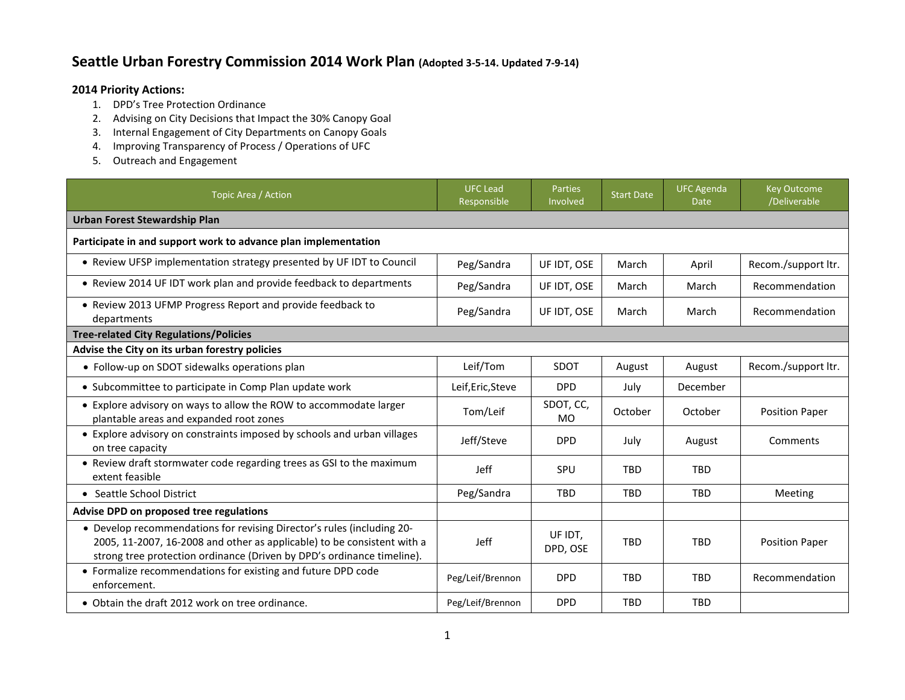## **Seattle Urban Forestry Commission 2014 Work Plan (Adopted 3-5-14. Updated 7-9-14)**

## **2014 Priority Actions:**

- 1. DPD's Tree Protection Ordinance
- 2. Advising on City Decisions that Impact the 30% Canopy Goal
- 3. Internal Engagement of City Departments on Canopy Goals
- 4. Improving Transparency of Process / Operations of UFC
- 5. Outreach and Engagement

| Topic Area / Action                                                                                                                                                                                                         | <b>UFC Lead</b><br>Responsible | Parties<br>Involved    | <b>Start Date</b> | <b>UFC Agenda</b><br><b>Date</b> | <b>Key Outcome</b><br>/Deliverable |  |  |  |
|-----------------------------------------------------------------------------------------------------------------------------------------------------------------------------------------------------------------------------|--------------------------------|------------------------|-------------------|----------------------------------|------------------------------------|--|--|--|
| <b>Urban Forest Stewardship Plan</b>                                                                                                                                                                                        |                                |                        |                   |                                  |                                    |  |  |  |
| Participate in and support work to advance plan implementation                                                                                                                                                              |                                |                        |                   |                                  |                                    |  |  |  |
| • Review UFSP implementation strategy presented by UF IDT to Council                                                                                                                                                        | Peg/Sandra                     | UF IDT, OSE            | March             | April                            | Recom./support ltr.                |  |  |  |
| • Review 2014 UF IDT work plan and provide feedback to departments                                                                                                                                                          | Peg/Sandra                     | UF IDT, OSE            | March             | March                            | Recommendation                     |  |  |  |
| • Review 2013 UFMP Progress Report and provide feedback to<br>departments                                                                                                                                                   | Peg/Sandra                     | UF IDT, OSE            | March             | March                            | Recommendation                     |  |  |  |
| <b>Tree-related City Regulations/Policies</b>                                                                                                                                                                               |                                |                        |                   |                                  |                                    |  |  |  |
| Advise the City on its urban forestry policies                                                                                                                                                                              |                                |                        |                   |                                  |                                    |  |  |  |
| • Follow-up on SDOT sidewalks operations plan                                                                                                                                                                               | Leif/Tom                       | <b>SDOT</b>            | August            | August                           | Recom./support ltr.                |  |  |  |
| • Subcommittee to participate in Comp Plan update work                                                                                                                                                                      | Leif, Eric, Steve              | <b>DPD</b>             | July              | December                         |                                    |  |  |  |
| • Explore advisory on ways to allow the ROW to accommodate larger<br>plantable areas and expanded root zones                                                                                                                | Tom/Leif                       | SDOT, CC,<br><b>MO</b> | October           | October                          | <b>Position Paper</b>              |  |  |  |
| • Explore advisory on constraints imposed by schools and urban villages<br>on tree capacity                                                                                                                                 | Jeff/Steve                     | <b>DPD</b>             | July              | August                           | Comments                           |  |  |  |
| • Review draft stormwater code regarding trees as GSI to the maximum<br>extent feasible                                                                                                                                     | <b>Jeff</b>                    | SPU                    | <b>TBD</b>        | <b>TBD</b>                       |                                    |  |  |  |
| • Seattle School District                                                                                                                                                                                                   | Peg/Sandra                     | <b>TBD</b>             | <b>TBD</b>        | <b>TBD</b>                       | Meeting                            |  |  |  |
| Advise DPD on proposed tree regulations                                                                                                                                                                                     |                                |                        |                   |                                  |                                    |  |  |  |
| • Develop recommendations for revising Director's rules (including 20-<br>2005, 11-2007, 16-2008 and other as applicable) to be consistent with a<br>strong tree protection ordinance (Driven by DPD's ordinance timeline). | <b>Jeff</b>                    | UF IDT,<br>DPD, OSE    | <b>TRD</b>        | <b>TRD</b>                       | <b>Position Paper</b>              |  |  |  |
| • Formalize recommendations for existing and future DPD code<br>enforcement.                                                                                                                                                | Peg/Leif/Brennon               | <b>DPD</b>             | <b>TRD</b>        | <b>TRD</b>                       | Recommendation                     |  |  |  |
| • Obtain the draft 2012 work on tree ordinance.                                                                                                                                                                             | Peg/Leif/Brennon               | <b>DPD</b>             | <b>TBD</b>        | <b>TBD</b>                       |                                    |  |  |  |